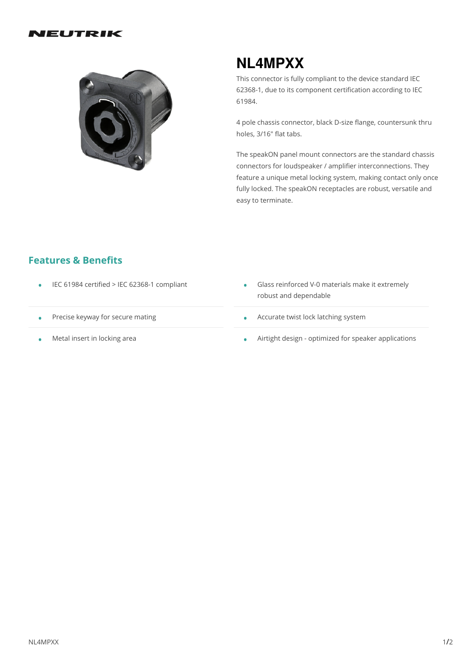#### IEUTRIK



# **NL4MPXX**

This connector is fully compliant to the device standard IEC 62368-1, due to its component certification according to IEC 61984.

4 pole chassis connector, black D-size flange, countersunk thru holes, 3/16" flat tabs.

The speakON panel mount connectors are the standard chassis connectors for loudspeaker / amplifier interconnections. They feature a unique metal locking system, making contact only once fully locked. The speakON receptacles are robust, versatile and easy to terminate.

#### **Features & Benefits**

- 
- Precise keyway for secure mating •
- Metal insert in locking area
- IEC <sup>61984</sup> certified <sup>&</sup>gt; IEC 62368-1 compliant Glass reinforced V-0 materials make itextremely robust and dependable
	- Accurate twist lock latching system
	- Airtight design optimized for speaker applications •